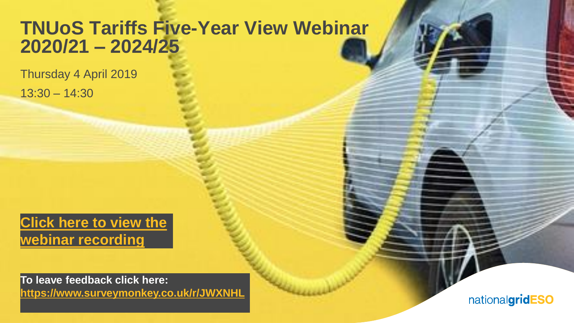### **TNUoS Tariffs Five-Year View Webinar 2020/21 – 2024/25**

Thursday 4 April 2019 13:30 – 14:30

**[Click here to view the](https://uknationalgrid.webex.com/uknationalgrid/ldr.php?RCID=2165fb23bc1b1e8de1ba2dda956f7f11) webinar recording**

**1 To leave feedback click here: [https://www.surveymonkey.co.uk/r/JWXNHL](https://www.surveymonkey.co.uk/r/JWXNHLV)**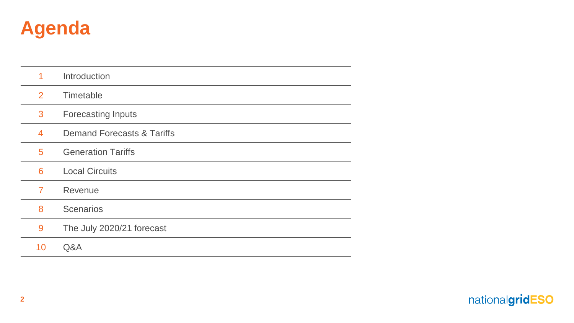

| 1  | Introduction                          |
|----|---------------------------------------|
| 2  | Timetable                             |
| 3  | <b>Forecasting Inputs</b>             |
| 4  | <b>Demand Forecasts &amp; Tariffs</b> |
| 5  | <b>Generation Tariffs</b>             |
| 6  | <b>Local Circuits</b>                 |
| 7  | Revenue                               |
| 8  | <b>Scenarios</b>                      |
| 9  | The July 2020/21 forecast             |
| 10 | Q&A                                   |

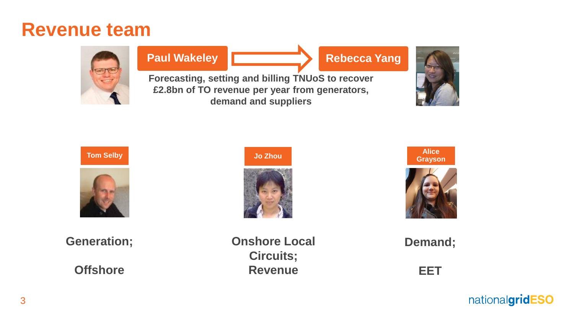### **Revenue team**



#### **Paul Wakeley**

**Rebecca Yang**

**Forecasting, setting and billing TNUoS to recover £2.8bn of TO revenue per year from generators, demand and suppliers**







**Generation;**

**Offshore**

**Onshore Local Circuits; Revenue**



**Demand;** 

**EET**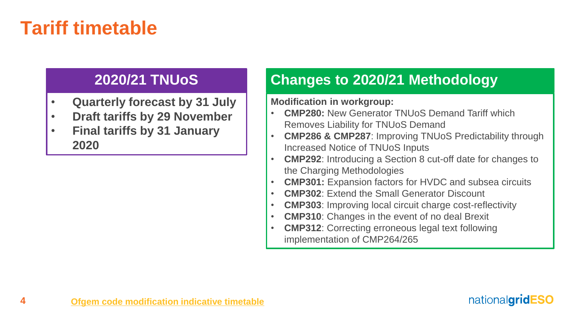### **Tariff timetable**

### **2020/21 TNUoS**

- **Quarterly forecast by 31 July**
- **Draft tariffs by 29 November**
- **Final tariffs by 31 January 2020**

### **Changes to 2020/21 Methodology**

**Modification in workgroup:**

- **CMP280:** New Generator TNUoS Demand Tariff which Removes Liability for TNUoS Demand
- **CMP286 & CMP287**: Improving TNUoS Predictability through Increased Notice of TNUoS Inputs
- **CMP292**: Introducing a Section 8 cut-off date for changes to the Charging Methodologies
- **CMP301:** Expansion factors for HVDC and subsea circuits
- **CMP302**: Extend the Small Generator Discount
- **CMP303**: Improving local circuit charge cost-reflectivity
- **CMP310**: Changes in the event of no deal Brexit
- **CMP312**: Correcting erroneous legal text following implementation of CMP264/265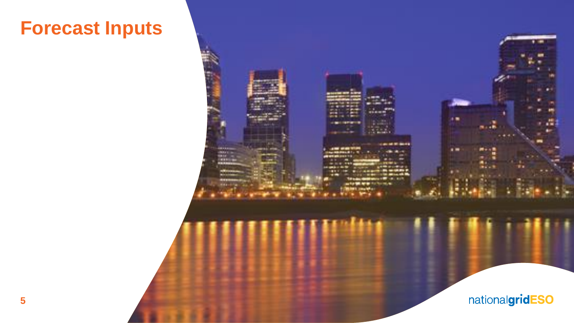## **Forecast Inputs**

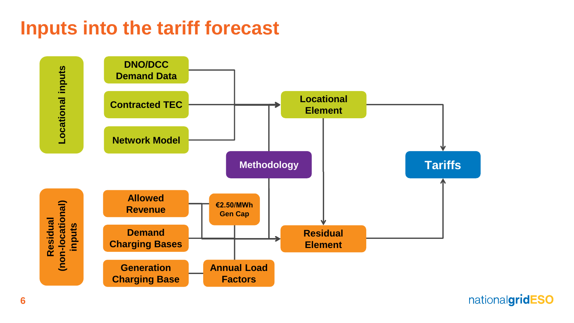## **Inputs into the tariff forecast**

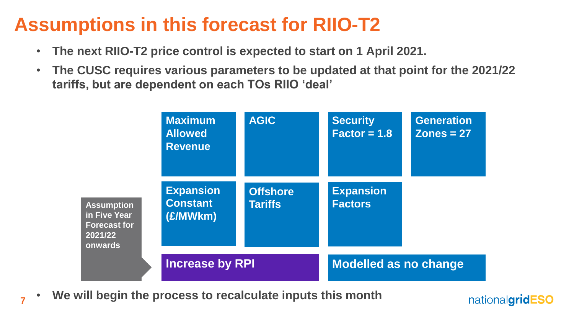## **Assumptions in this forecast for RIIO-T2**

- **The next RIIO-T2 price control is expected to start on 1 April 2021.**
- **The CUSC requires various parameters to be updated at that point for the 2021/22 tariffs, but are dependent on each TOs RIIO 'deal'**



nationalgridESO

• **We will begin the process to recalculate inputs this month** 

**7**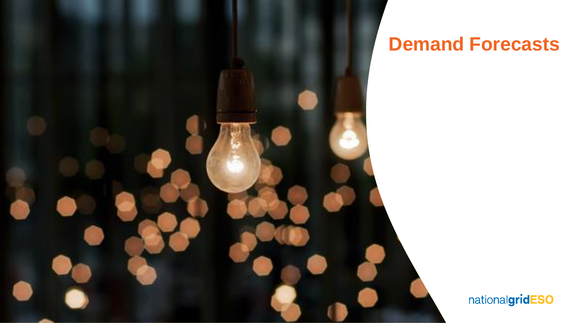

### **Demand Forecasts**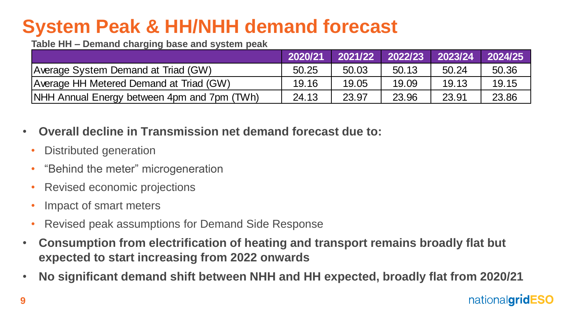# **System Peak & HH/NHH demand forecast**

**Table HH – Demand charging base and system peak**

|                                             | 2020/21 | 2021/22 | 2022/23 | 2023/24 | 2024/25 |
|---------------------------------------------|---------|---------|---------|---------|---------|
| Average System Demand at Triad (GW)         | 50.25   | 50.03   | 50.13   | 50.24   | 50.36   |
| Average HH Metered Demand at Triad (GW)     | 19.16   | 19.05   | 19.09   | 19.13   | 19.15   |
| NHH Annual Energy between 4pm and 7pm (TWh) | 24.13   | 23.97   | 23.96   | 23.91   | 23.86   |

- **Overall decline in Transmission net demand forecast due to:**
- Distributed generation
- "Behind the meter" microgeneration
- Revised economic projections
- Impact of smart meters
- Revised peak assumptions for Demand Side Response
- **Consumption from electrification of heating and transport remains broadly flat but expected to start increasing from 2022 onwards**
- **No significant demand shift between NHH and HH expected, broadly flat from 2020/21**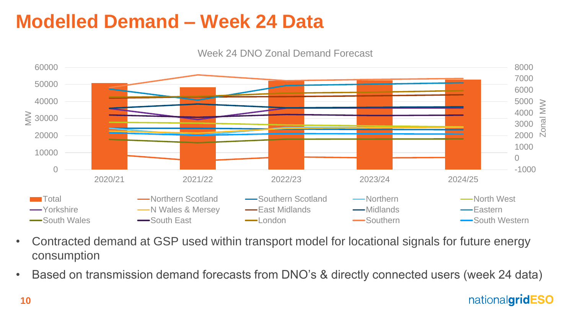## **Modelled Demand – Week 24 Data**

Week 24 DNO Zonal Demand Forecast



- Contracted demand at GSP used within transport model for locational signals for future energy consumption
- Based on transmission demand forecasts from DNO's & directly connected users (week 24 data)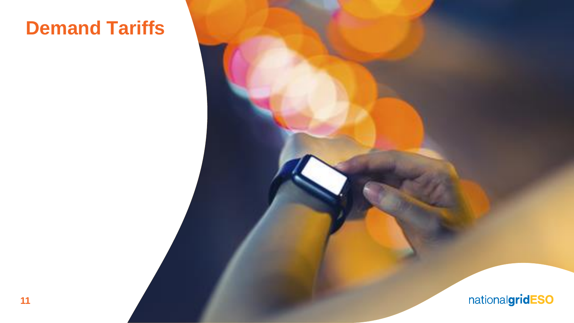## **Demand Tariffs**

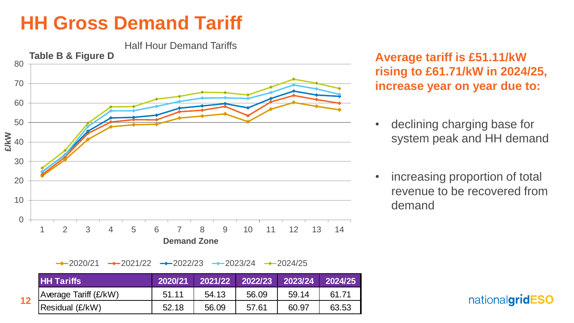### **HH Gross Demand Tariff**

**12**

Half Hour Demand Tariffs



**Average tariff is £51.11/kW rising to £61.71/kW in 2024/25, increase year on year due to:**

- declining charging base for system peak and HH demand
- increasing proportion of total revenue to be recovered from demand

 $\rightarrow$  2020/21  $\rightarrow$  2021/22  $\rightarrow$  2022/23  $\rightarrow$  2023/24  $\rightarrow$  2024/25

|           | <b>HH Tariffs</b>            | 2020/21 | 2021/22 | 2022/23 | $\sqrt{2023/24}$ | 2024/25 |
|-----------|------------------------------|---------|---------|---------|------------------|---------|
| $\bullet$ | <b>Average Tariff (£/kW)</b> | 51.11   | 54.13   | 56.09   | 59.14            | 61.71   |
|           | Residual (£/kW)              | 52.18   | 56.09   | 57.61   | 60.97            | 63.53   |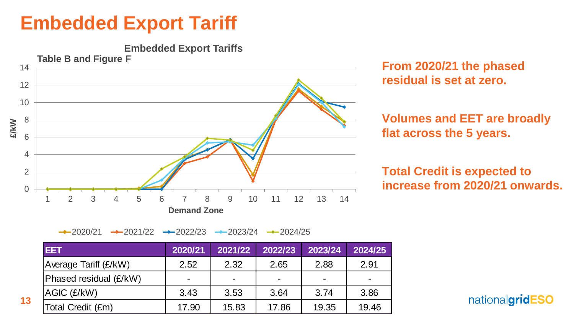### **Embedded Export Tariff**

**13**



**From 2020/21 the phased residual is set at zero.**

**Volumes and EET are broadly flat across the 5 years.**

**Total Credit is expected to** 

 $\rightarrow$  2020/21  $\rightarrow$  2021/22  $\rightarrow$  2022/23  $\rightarrow$  2023/24  $\rightarrow$  2024/25

| <b>IEET</b>            | 2020/21 | 2021/22        | 2022/23 | 2023/24        | 2024/25 |
|------------------------|---------|----------------|---------|----------------|---------|
| Average Tariff (£/kW)  | 2.52    | 2.32           | 2.65    | 2.88           | 2.91    |
| Phased residual (£/kW) |         | $\blacksquare$ |         | $\blacksquare$ | -       |
| AGIC (£/kW)            | 3.43    | 3.53           | 3.64    | 3.74           | 3.86    |
| Total Credit (£m)      | 17.90   | 15.83          | 17.86   | 19.35          | 19.46   |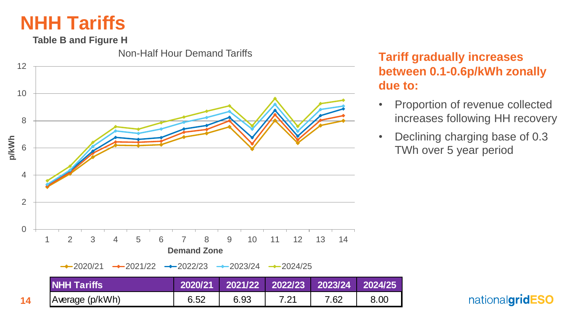### **NHH Tariffs**

**Table B and Figure H**

Non-Half Hour Demand Tariffs



**Tariff gradually increases between 0.1-0.6p/kWh zonally due to:**

- Proportion of revenue collected increases following HH recovery
- Declining charging base of 0.3 TWh over 5 year period

```
nationalgridESO
```
**14**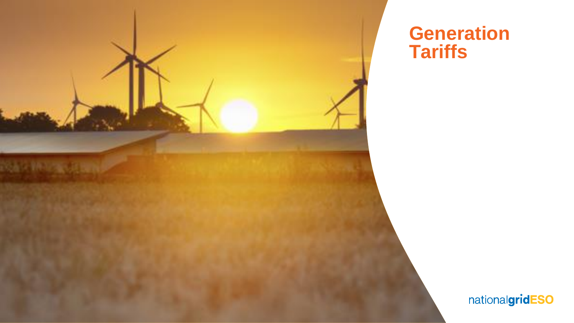

### **Generation Tariffs**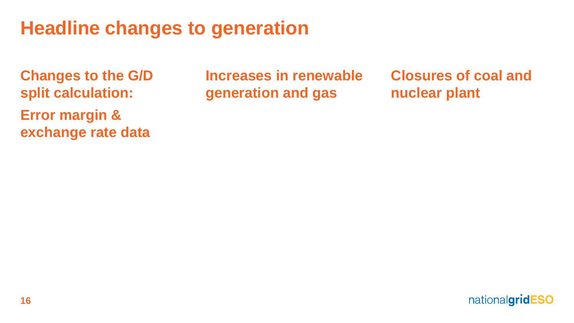## **Headline changes to generation**

**Changes to the G/D split calculation: Error margin & exchange rate data**

**Increases in renewable generation and gas**

**Closures of coal and nuclear plant**

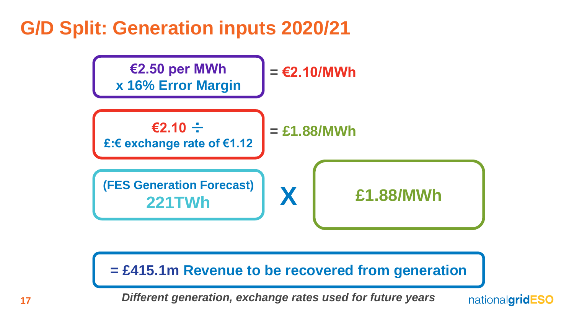### **G/D Split: Generation inputs 2020/21**



#### **= £415.1m Revenue to be recovered from generation**

*Different generation, exchange rates used for future years*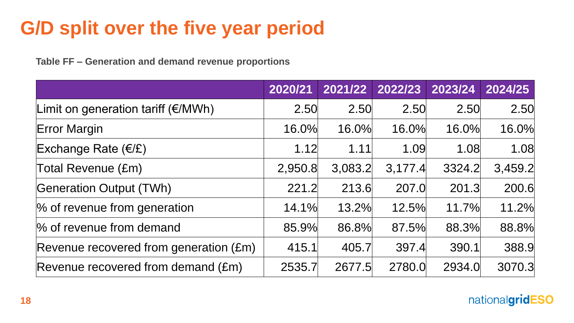# **G/D split over the five year period**

**Table FF – Generation and demand revenue proportions**

|                                                 | 2020/21 | 2021/22 | 2022/23 | 2023/24 | 2024/25 |
|-------------------------------------------------|---------|---------|---------|---------|---------|
| Limit on generation tariff $(E/MWh)$            | 2.50    | 2.50    | 2.50    | 2.50    | 2.50    |
| <b>Error Margin</b>                             | 16.0%   | 16.0%   | 16.0%   | 16.0%   | 16.0%   |
| Exchange Rate $(E/E)$                           | 1.12    | 1.11    | 1.09    | 1.08    | 1.08    |
| Total Revenue (£m)                              | 2,950.8 | 3,083.2 | 3,177.4 | 3324.2  | 3,459.2 |
| <b>Generation Output (TWh)</b>                  | 221.2   | 213.6   | 207.0   | 201.3   | 200.6   |
| % of revenue from generation                    | 14.1%   | 13.2%   | 12.5%   | 11.7%   | 11.2%   |
| % of revenue from demand                        | 85.9%   | 86.8%   | 87.5%   | 88.3%   | 88.8%   |
| Revenue recovered from generation $(\text{Em})$ | 415.1   | 405.7   | 397.4   | 390.1   | 388.9   |
| Revenue recovered from demand (£m)              | 2535.7  | 2677.5  | 2780.0  | 2934.0  | 3070.3  |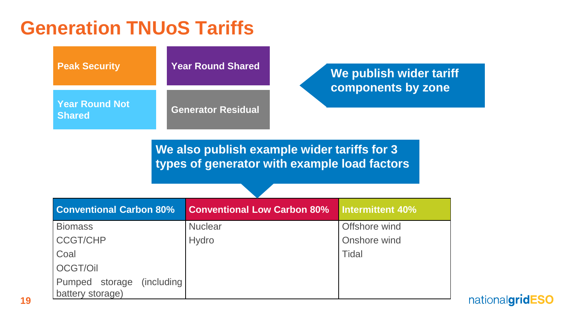### **Generation TNUoS Tariffs**

| <b>Peak Security</b>            | <b>Year Round Shared</b>  | We publish wider tariff<br>components by zone |
|---------------------------------|---------------------------|-----------------------------------------------|
| Year Round Not<br><b>Shared</b> | <b>Generator Residual</b> |                                               |

**We also publish example wider tariffs for 3 types of generator with example load factors**

| <b>Conventional Carbon 80%</b>                    | <b>Conventional Low Carbon 80%</b> | <b>Intermittent 40%</b> |
|---------------------------------------------------|------------------------------------|-------------------------|
| <b>Biomass</b>                                    | <b>Nuclear</b>                     | Offshore wind           |
| <b>CCGT/CHP</b>                                   | <b>Hydro</b>                       | Onshore wind            |
| Coal                                              |                                    | <b>Tidal</b>            |
| OCGT/Oil                                          |                                    |                         |
| Pumped storage<br>(including)<br>battery storage) |                                    |                         |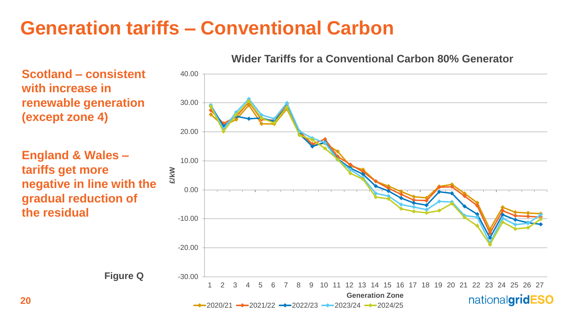### **Generation tariffs – Conventional Carbon**

**20**

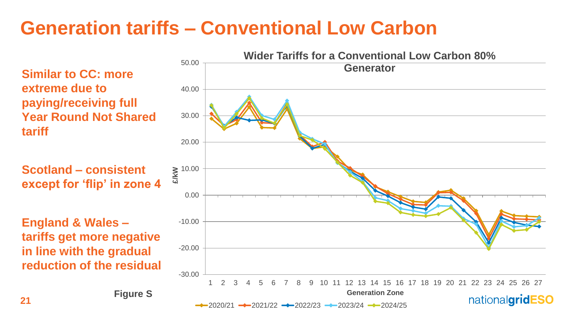## **Generation tariffs – Conventional Low Carbon**

**Similar to CC: more extreme due to paying/receiving full Year Round Not Shared tariff**

**Scotland – consistent except for 'flip' in zone 4**

**England & Wales – tariffs get more negative in line with the gradual reduction of the residual**

**Figure S**

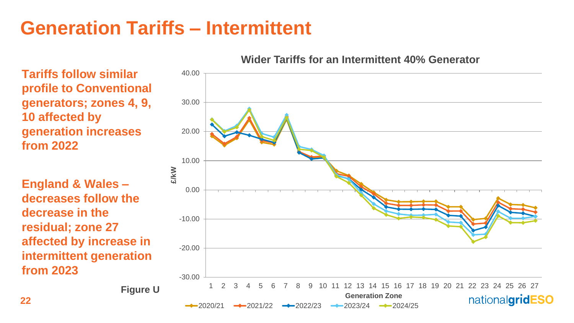### **Generation Tariffs – Intermittent**

**Tariffs follow similar profile to Conventional generators; zones 4, 9, 10 affected by generation increases from 2022**

**England & Wales – decreases follow the decrease in the residual; zone 27 affected by increase in intermittent generation from 2023**



**Wider Tariffs for an Intermittent 40% Generator**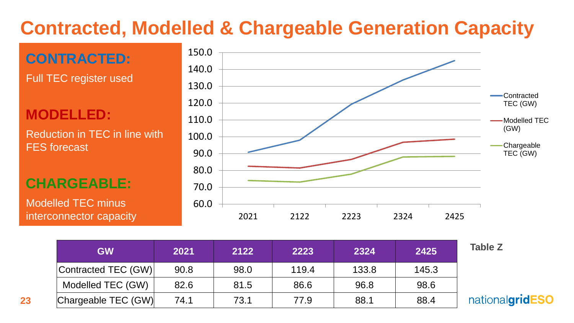# **Contracted, Modelled & Chargeable Generation Capacity**



| <b>GW</b>           | 2021 | 2122 | 2223  | 2324  | 2425  | <b>Table Z</b>  |
|---------------------|------|------|-------|-------|-------|-----------------|
| Contracted TEC (GW) | 90.8 | 98.0 | 119.4 | 133.8 | 145.3 |                 |
| Modelled TEC (GW)   | 82.6 | 81.5 | 86.6  | 96.8  | 98.6  |                 |
| Chargeable TEC (GW) | 74.1 | 73.1 | 77.9  | 88.1  | 88.4  | nationalgridESO |

**23**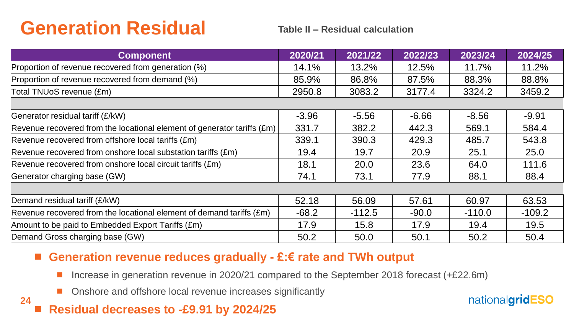## **Generation Residual**

#### **Table II – Residual calculation**

| <b>Component</b>                                                                 | 2020/21 | 2021/22  | 2022/23 | 2023/24  | 2024/25  |
|----------------------------------------------------------------------------------|---------|----------|---------|----------|----------|
| Proportion of revenue recovered from generation (%)                              | 14.1%   | 13.2%    | 12.5%   | 11.7%    | 11.2%    |
| Proportion of revenue recovered from demand (%)                                  | 85.9%   | 86.8%    | 87.5%   | 88.3%    | 88.8%    |
| Total TNUoS revenue (£m)                                                         | 2950.8  | 3083.2   | 3177.4  | 3324.2   | 3459.2   |
|                                                                                  |         |          |         |          |          |
| Generator residual tariff (£/kW)                                                 | $-3.96$ | $-5.56$  | $-6.66$ | $-8.56$  | $-9.91$  |
| Revenue recovered from the locational element of generator tariffs $(\text{Em})$ | 331.7   | 382.2    | 442.3   | 569.1    | 584.4    |
| Revenue recovered from offshore local tariffs (£m)                               | 339.1   | 390.3    | 429.3   | 485.7    | 543.8    |
| Revenue recovered from onshore local substation tariffs (£m)                     | 19.4    | 19.7     | 20.9    | 25.1     | 25.0     |
| Revenue recovered from onshore local circuit tariffs (£m)                        | 18.1    | 20.0     | 23.6    | 64.0     | 111.6    |
| Generator charging base (GW)                                                     | 74.1    | 73.1     | 77.9    | 88.1     | 88.4     |
|                                                                                  |         |          |         |          |          |
| Demand residual tariff (£/kW)                                                    | 52.18   | 56.09    | 57.61   | 60.97    | 63.53    |
| Revenue recovered from the locational element of demand tariffs $(\text{Em})$    | $-68.2$ | $-112.5$ | $-90.0$ | $-110.0$ | $-109.2$ |
| Amount to be paid to Embedded Export Tariffs (£m)                                | 17.9    | 15.8     | 17.9    | 19.4     | 19.5     |
| Demand Gross charging base (GW)                                                  | 50.2    | 50.0     | 50.1    | 50.2     | 50.4     |

#### **Generation revenue reduces gradually - £:€ rate and TWh output**

- Increase in generation revenue in 2020/21 compared to the September 2018 forecast (+£22.6m)
- **Onshore and offshore local revenue increases significantly**

### **Residual decreases to -£9.91 by 2024/25**

**24**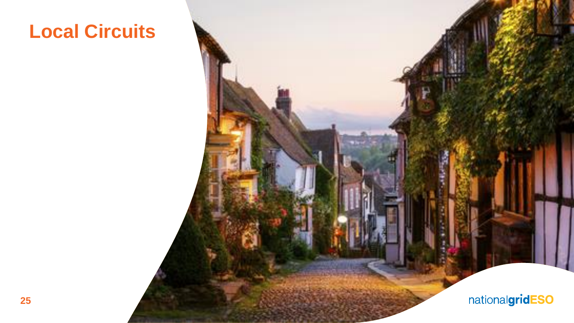## **Local Circuits**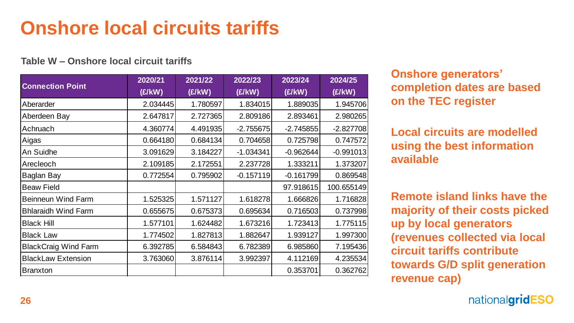# **Onshore local circuits tariffs**

#### **Table W – Onshore local circuit tariffs**

| <b>Connection Point</b>     | 2020/21<br>(E/KW) | 2021/22<br>(£/kW) | 2022/23<br>(£/kW) | 2023/24<br>(E/KW) | 2024/25<br>(E/KW) | <b>Onshore gene</b><br><b>completion da</b> |
|-----------------------------|-------------------|-------------------|-------------------|-------------------|-------------------|---------------------------------------------|
| Aberarder                   | 2.034445          | 1.780597          | 1.834015          | 1.889035          | 1.945706          | on the TEC re                               |
| Aberdeen Bay                | 2.647817          | 2.727365          | 2.809186          | 2.893461          | 2.980265          |                                             |
| Achruach                    | 4.360774          | 4.491935          | $-2.755675$       | $-2.745855$       | $-2.827708$       | <b>Local circuits</b>                       |
| Aigas                       | 0.664180          | 0.684134          | 0.704658          | 0.725798          | 0.747572          |                                             |
| An Suidhe                   | 3.091629          | 3.184227          | $-1.034341$       | $-0.962644$       | $-0.991013$       | using the bes                               |
| Arecleoch                   | 2.109185          | 2.172551          | 2.237728          | 1.333211          | 1.373207          | available                                   |
| Baglan Bay                  | 0.772554          | 0.795902          | $-0.157119$       | $-0.161799$       | 0.869548          |                                             |
| <b>Beaw Field</b>           |                   |                   |                   | 97.918615         | 100.655149        |                                             |
| <b>Beinneun Wind Farm</b>   | 1.525325          | 1.571127          | 1.618278          | 1.666826          | 1.716828          | <b>Remote island</b>                        |
| <b>Bhlaraidh Wind Farm</b>  | 0.655675          | 0.675373          | 0.695634          | 0.716503          | 0.737998          | majority of the                             |
| <b>Black Hill</b>           | 1.577101          | 1.624482          | 1.673216          | 1.723413          | 1.775115          | up by local ge                              |
| <b>Black Law</b>            | 1.774502          | 1.827813          | 1.882647          | 1.939127          | 1.997300          | (revenues col                               |
| <b>BlackCraig Wind Farm</b> | 6.392785          | 6.584843          | 6.782389          | 6.985860          | 7.195436          | <b>circuit tariffs</b>                      |
| <b>BlackLaw Extension</b>   | 3.763060          | 3.876114          | 3.992397          | 4.112169          | 4.235534          |                                             |
| <b>Branxton</b>             |                   |                   |                   | 0.353701          | 0.362762          | towards G/D s<br>revenue cap)               |

**Onshore generators' completion dates are based on the TEC register**

**Local circuits are modelled using the best information available** 

**Remote island links have the majority of their costs picked up by local generators (revenues collected via local circuit tariffs contribute towards G/D split generation**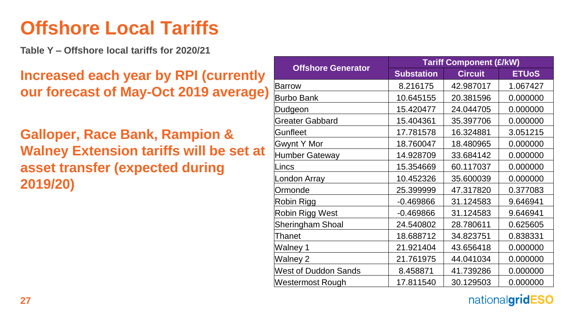### **Offshore Local Tariffs**

**Table Y – Offshore local tariffs for 2020/21**

**Increased each year by RPI (currently our forecast of May-Oct 2019 average)**

**Galloper, Race Bank, Rampion & Walney Extension tariffs will be set at asset transfer (expected during 2019/20)**

|                             | <b>Tariff Component (£/kW)</b> |                |              |  |  |  |
|-----------------------------|--------------------------------|----------------|--------------|--|--|--|
| <b>Offshore Generator</b>   | <b>Substation</b>              | <b>Circuit</b> | <b>ETUoS</b> |  |  |  |
| Barrow                      | 8.216175                       | 42.987017      | 1.067427     |  |  |  |
| Burbo Bank                  | 10.645155                      | 20.381596      | 0.000000     |  |  |  |
| Dudgeon                     | 15.420477                      | 24.044705      | 0.000000     |  |  |  |
| <b>Greater Gabbard</b>      | 15.404361                      | 35.397706      | 0.000000     |  |  |  |
| Gunfleet                    | 17.781578                      | 16.324881      | 3.051215     |  |  |  |
| <b>Gwynt Y Mor</b>          | 18.760047                      | 18.480965      | 0.000000     |  |  |  |
| Humber Gateway              | 14.928709                      | 33.684142      | 0.000000     |  |  |  |
| ∣Lincs                      | 15.354669                      | 60.117037      | 0.000000     |  |  |  |
| London Array                | 10.452326                      | 35.600039      | 0.000000     |  |  |  |
| Ormonde                     | 25.399999                      | 47.317820      | 0.377083     |  |  |  |
| Robin Rigg                  | $-0.469866$                    | 31.124583      | 9.646941     |  |  |  |
| Robin Rigg West             | $-0.469866$                    | 31.124583      | 9.646941     |  |  |  |
| <b>Sheringham Shoal</b>     | 24.540802                      | 28.780611      | 0.625605     |  |  |  |
| Thanet                      | 18.688712                      | 34.823751      | 0.838331     |  |  |  |
| Walney 1                    | 21.921404                      | 43.656418      | 0.000000     |  |  |  |
| Walney 2                    | 21.761975                      | 44.041034      | 0.000000     |  |  |  |
| <b>West of Duddon Sands</b> | 8.458871                       | 41.739286      | 0.000000     |  |  |  |
| Westermost Rough            | 17.811540                      | 30.129503      | 0.000000     |  |  |  |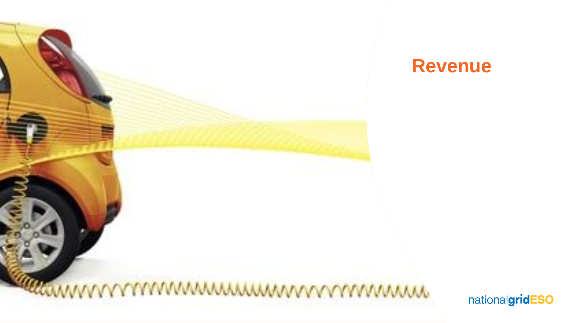

### **Revenue**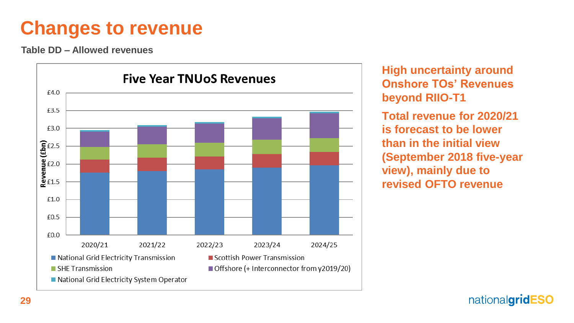### **Changes to revenue**

**Table DD – Allowed revenues**



**High uncertainty around Onshore TOs' Revenues beyond RIIO-T1**

**Total revenue for 2020/21 is forecast to be lower than in the initial view (September 2018 five-year view), mainly due to revised OFTO revenue**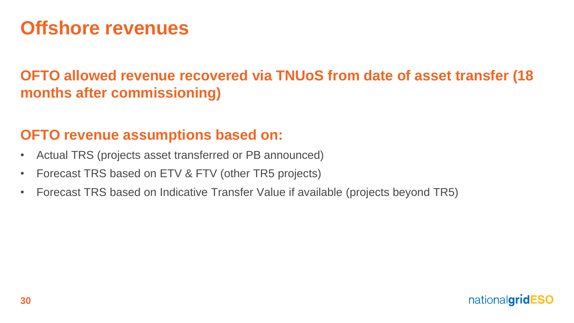### **Offshore revenues**

### **OFTO allowed revenue recovered via TNUoS from date of asset transfer (18 months after commissioning)**

### **OFTO revenue assumptions based on:**

- Actual TRS (projects asset transferred or PB announced)
- Forecast TRS based on ETV & FTV (other TR5 projects)
- Forecast TRS based on Indicative Transfer Value if available (projects beyond TR5)

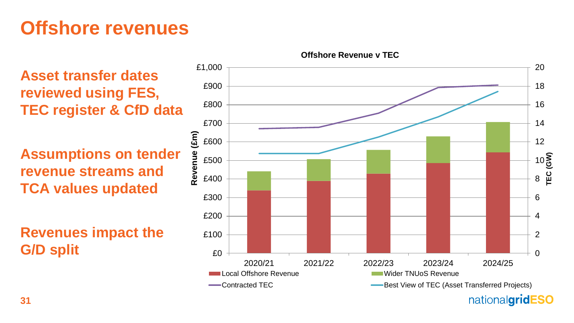## **Offshore revenues**

**Asset transfer dates reviewed using FES, TEC register & CfD data**

**Assumptions on tender revenue streams and TCA values updated**

**Revenues impact the** 



**Offshore Revenue v TEC**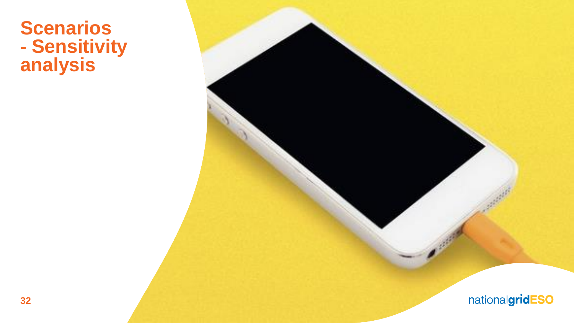### **Scenarios - Sensitivity analysis**

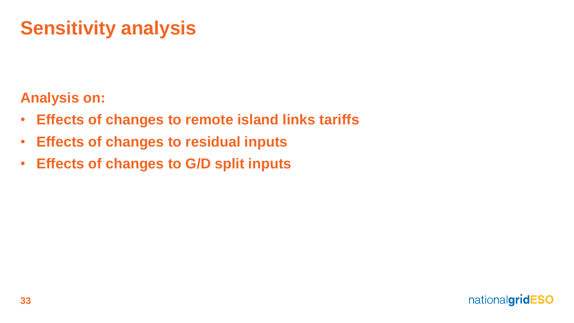# **Sensitivity analysis**

### **Analysis on:**

- **Effects of changes to remote island links tariffs**
- **Effects of changes to residual inputs**
- **Effects of changes to G/D split inputs**

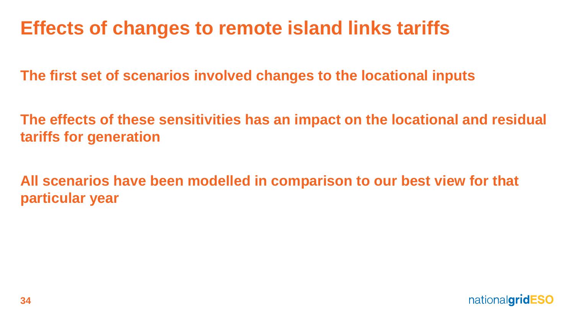## **Effects of changes to remote island links tariffs**

**The first set of scenarios involved changes to the locational inputs**

**The effects of these sensitivities has an impact on the locational and residual tariffs for generation**

**All scenarios have been modelled in comparison to our best view for that particular year**

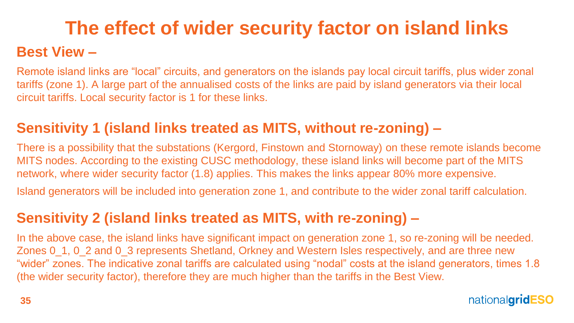# **The effect of wider security factor on island links**

### **Best View –**

Remote island links are "local" circuits, and generators on the islands pay local circuit tariffs, plus wider zonal tariffs (zone 1). A large part of the annualised costs of the links are paid by island generators via their local circuit tariffs. Local security factor is 1 for these links.

### **Sensitivity 1 (island links treated as MITS, without re-zoning) –**

There is a possibility that the substations (Kergord, Finstown and Stornoway) on these remote islands become MITS nodes. According to the existing CUSC methodology, these island links will become part of the MITS network, where wider security factor (1.8) applies. This makes the links appear 80% more expensive.

Island generators will be included into generation zone 1, and contribute to the wider zonal tariff calculation.

### **Sensitivity 2 (island links treated as MITS, with re-zoning) –**

In the above case, the island links have significant impact on generation zone 1, so re-zoning will be needed. Zones 0\_1, 0\_2 and 0\_3 represents Shetland, Orkney and Western Isles respectively, and are three new "wider" zones. The indicative zonal tariffs are calculated using "nodal" costs at the island generators, times 1.8 (the wider security factor), therefore they are much higher than the tariffs in the Best View.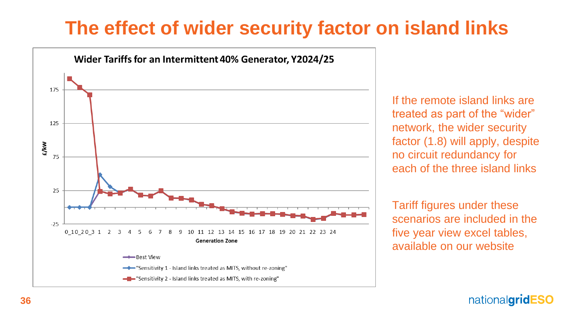### **The effect of wider security factor on island links**



If the remote island links are treated as part of the "wider" network, the wider security factor (1.8) will apply, despite no circuit redundancy for each of the three island links

Tariff figures under these scenarios are included in the five year view excel tables, available on our website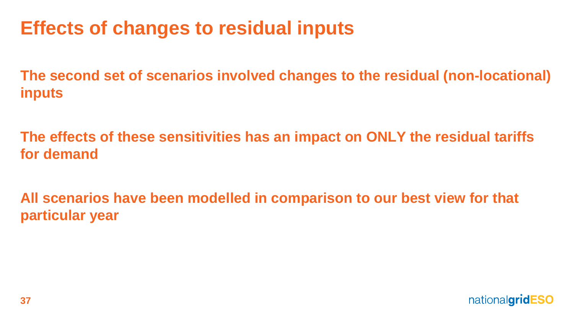## **Effects of changes to residual inputs**

**The second set of scenarios involved changes to the residual (non-locational) inputs**

**The effects of these sensitivities has an impact on ONLY the residual tariffs for demand**

**All scenarios have been modelled in comparison to our best view for that particular year**

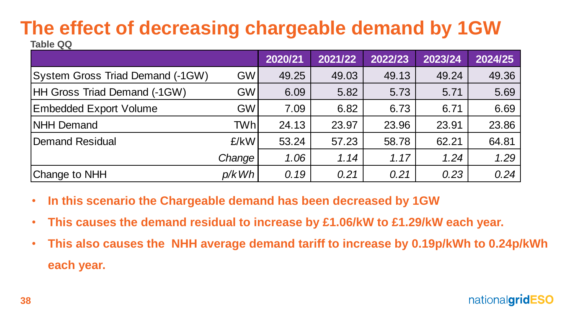#### **The effect of decreasing chargeable demand by 1GW Table QQ**

|                                         |                     | 2020/21 | 2021/22 | 2022/23 | 2023/24 | 2024/25 |
|-----------------------------------------|---------------------|---------|---------|---------|---------|---------|
| <b>System Gross Triad Demand (-1GW)</b> | <b>GW</b>           | 49.25   | 49.03   | 49.13   | 49.24   | 49.36   |
| <b>HH Gross Triad Demand (-1GW)</b>     | <b>GW</b>           | 6.09    | 5.82    | 5.73    | 5.71    | 5.69    |
| <b>Embedded Export Volume</b>           | <b>GW</b>           | 7.09    | 6.82    | 6.73    | 6.71    | 6.69    |
| <b>NHH Demand</b>                       | TWhl                | 24.13   | 23.97   | 23.96   | 23.91   | 23.86   |
| Demand Residual                         | E/KW                | 53.24   | 57.23   | 58.78   | 62.21   | 64.81   |
|                                         | Change <sup>'</sup> | 1.06    | 1.14    | 1.17    | 1.24    | 1.29    |
| Change to NHH                           | p/kWh               | 0.19    | 0.21    | 0.21    | 0.23    | 0.24    |

- **In this scenario the Chargeable demand has been decreased by 1GW**
- **This causes the demand residual to increase by £1.06/kW to £1.29/kW each year.**
- **This also causes the NHH average demand tariff to increase by 0.19p/kWh to 0.24p/kWh each year.**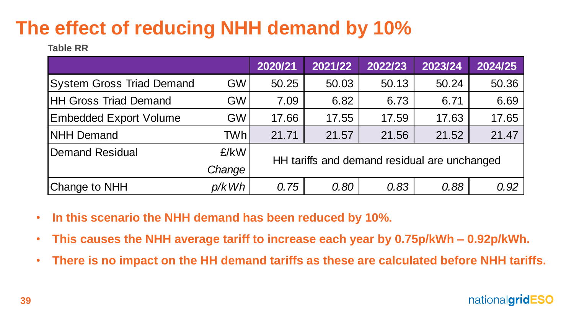# **The effect of reducing NHH demand by 10%**

**Table RR**

|                                  |            | 2020/21                                      | 2021/22 | 2022/23 | 2023/24 | 2024/25 |  |  |
|----------------------------------|------------|----------------------------------------------|---------|---------|---------|---------|--|--|
| <b>System Gross Triad Demand</b> | <b>GWI</b> | 50.25                                        | 50.03   | 50.13   | 50.24   | 50.36   |  |  |
| <b>HH Gross Triad Demand</b>     | <b>GWI</b> | 7.09                                         | 6.82    | 6.73    | 6.71    | 6.69    |  |  |
| <b>Embedded Export Volume</b>    | <b>GWI</b> | 17.66                                        | 17.55   | 17.59   | 17.63   | 17.65   |  |  |
| <b>INHH Demand</b>               | TWhl       | 21.71                                        | 21.57   | 21.56   | 21.52   | 21.47   |  |  |
| Demand Residual                  | £/kW       |                                              |         |         |         |         |  |  |
|                                  | Change     | HH tariffs and demand residual are unchanged |         |         |         |         |  |  |
| Change to NHH                    | p/kWh      | 0.75                                         | 0.80    | 0.83    | 0.88    | 0.92    |  |  |

- **In this scenario the NHH demand has been reduced by 10%.**
- **This causes the NHH average tariff to increase each year by 0.75p/kWh – 0.92p/kWh.**
- **There is no impact on the HH demand tariffs as these are calculated before NHH tariffs.**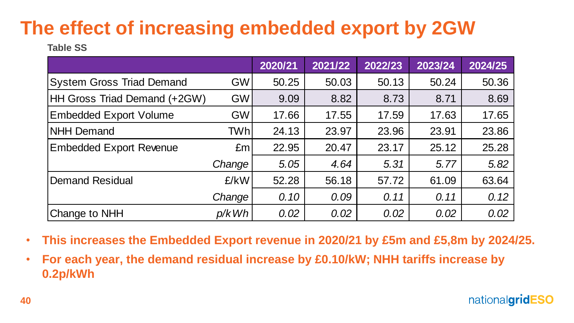# **The effect of increasing embedded export by 2GW**

**Table SS**

|                                     |                 | 2020/21 | 2021/22 | 2022/23 | 2023/24 | 2024/25 |
|-------------------------------------|-----------------|---------|---------|---------|---------|---------|
| <b>System Gross Triad Demand</b>    | <b>GW</b>       | 50.25   | 50.03   | 50.13   | 50.24   | 50.36   |
| <b>HH Gross Triad Demand (+2GW)</b> | <b>GW</b>       | 9.09    | 8.82    | 8.73    | 8.71    | 8.69    |
| <b>Embedded Export Volume</b>       | <b>GW</b>       | 17.66   | 17.55   | 17.59   | 17.63   | 17.65   |
| <b>NHH Demand</b>                   | TWhl            | 24.13   | 23.97   | 23.96   | 23.91   | 23.86   |
| <b>Embedded Export Revenue</b>      | Em <sub>l</sub> | 22.95   | 20.47   | 23.17   | 25.12   | 25.28   |
|                                     | Change          | 5.05    | 4.64    | 5.31    | 5.77    | 5.82    |
| Demand Residual                     | £/kW            | 52.28   | 56.18   | 57.72   | 61.09   | 63.64   |
|                                     | Change          | 0.10    | 0.09    | 0.11    | 0.11    | 0.12    |
| Change to NHH                       | p/kWh           | 0.02    | 0.02    | 0.02    | 0.02    | 0.02    |

- **This increases the Embedded Export revenue in 2020/21 by £5m and £5,8m by 2024/25.**
- **For each year, the demand residual increase by £0.10/kW; NHH tariffs increase by 0.2p/kWh**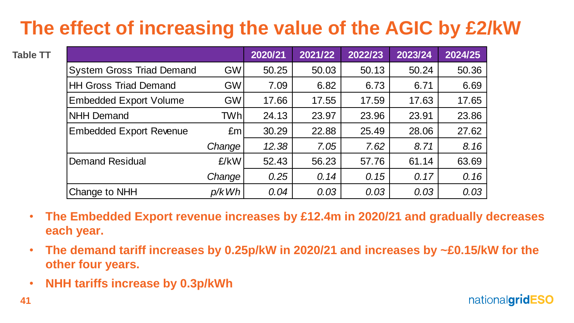# **The effect of increasing the value of the AGIC by £2/kW**

| le TT     |                                                                                                  |           | 2020/21 | 2021/22 | 2022/23 | 2023/24 | 2024/25 |
|-----------|--------------------------------------------------------------------------------------------------|-----------|---------|---------|---------|---------|---------|
|           | <b>System Gross Triad Demand</b>                                                                 | <b>GW</b> | 50.25   | 50.03   | 50.13   | 50.24   | 50.36   |
|           | <b>HH Gross Triad Demand</b>                                                                     | <b>GW</b> | 7.09    | 6.82    | 6.73    | 6.71    | 6.69    |
|           | <b>Embedded Export Volume</b>                                                                    | <b>GW</b> | 17.66   | 17.55   | 17.59   | 17.63   | 17.65   |
|           | <b>NHH Demand</b>                                                                                | TWhl      | 24.13   | 23.97   | 23.96   | 23.91   | 23.86   |
|           | <b>Embedded Export Revenue</b>                                                                   | Em        | 30.29   | 22.88   | 25.49   | 28.06   | 27.62   |
|           |                                                                                                  | Change    | 12.38   | 7.05    | 7.62    | 8.71    | 8.16    |
|           | <b>Demand Residual</b>                                                                           | £/kW      | 52.43   | 56.23   | 57.76   | 61.14   | 63.69   |
|           |                                                                                                  | Change    | 0.25    | 0.14    | 0.15    | 0.17    | 0.16    |
|           | Change to NHH                                                                                    | p/kWh     | 0.04    | 0.03    | 0.03    | 0.03    | 0.03    |
| $\bullet$ | The Embedded Export revenue increases by £12.4m in 2020/21 and gradually<br>each year.           |           |         |         |         |         |         |
| $\bullet$ | The demand tariff increases by 0.25p/kW in 2020/21 and increases by ~£0.15/<br>other four years. |           |         |         |         |         |         |
| $\bullet$ | <b>NHH tariffs increase by 0.3p/kWh</b>                                                          |           |         |         |         |         |         |

- **The Embedded Export revenue increases by £12.4m in 2020/21 and gradually decreases each year.**
- **The demand tariff increases by 0.25p/kW in 2020/21 and increases by ~£0.15/kW for the other four years.**
-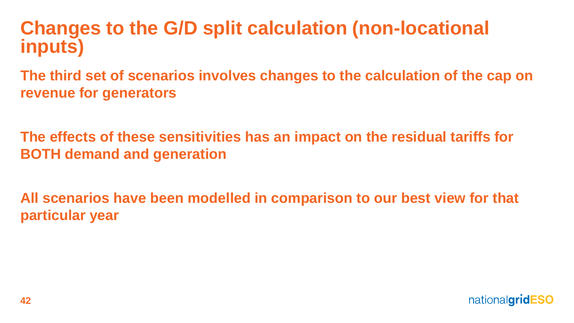### **Changes to the G/D split calculation (non-locational inputs)**

**The third set of scenarios involves changes to the calculation of the cap on revenue for generators**

**The effects of these sensitivities has an impact on the residual tariffs for BOTH demand and generation**

**All scenarios have been modelled in comparison to our best view for that particular year**

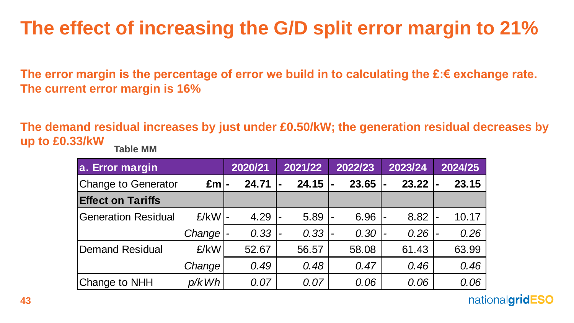# **The effect of increasing the G/D split error margin to 21%**

**The error margin is the percentage of error we build in to calculating the £:€ exchange rate. The current error margin is 16%**

**The demand residual increases by just under £0.50/kW; the generation residual decreases by up to £0.33/kW Table MM**

| a. Error margin            |                 | 2020/21 |                          | 2021/22 | 2022/23 | 2023/24 |                          | 2024/25 |
|----------------------------|-----------------|---------|--------------------------|---------|---------|---------|--------------------------|---------|
| <b>Change to Generator</b> | Em <sup>1</sup> | 24.71   |                          | 24.15   | 23.65   | 23.22   | $\blacksquare$           | 23.15   |
| <b>Effect on Tariffs</b>   |                 |         |                          |         |         |         |                          |         |
| <b>Generation Residual</b> | $E/KW$ -        | 4.29    | $\blacksquare$           | 5.89    | 6.96    | 8.82    |                          | 10.17   |
|                            | Change          | 0.33    | $\overline{\phantom{0}}$ | 0.33    | 0.30    | 0.26    | $\overline{\phantom{a}}$ | 0.26    |
| Demand Residual            | £/kW            | 52.67   |                          | 56.57   | 58.08   | 61.43   |                          | 63.99   |
|                            | Change          | 0.49    |                          | 0.48    | 0.47    | 0.46    |                          | 0.46    |
| <b>Change to NHH</b>       | p/kWh           | 0.07    |                          | 0.07    | 0.06    | 0.06    |                          | 0.06    |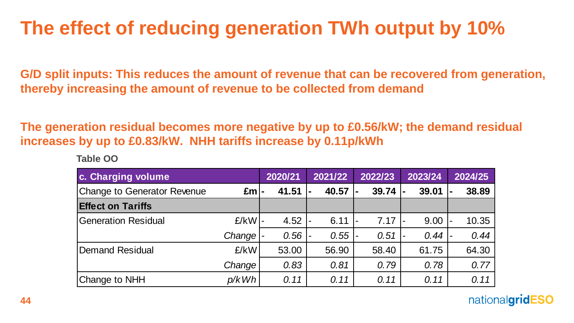# **The effect of reducing generation TWh output by 10%**

**G/D split inputs: This reduces the amount of revenue that can be recovered from generation, thereby increasing the amount of revenue to be collected from demand**

**The generation residual becomes more negative by up to £0.56/kW; the demand residual increases by up to £0.83/kW. NHH tariffs increase by 0.11p/kWh** 

**Table OO**

| c. Charging volume                 |                 | 2020/21 | 2021/22                | 2022/23 | 2023/24 | 2024/25 |
|------------------------------------|-----------------|---------|------------------------|---------|---------|---------|
| <b>Change to Generator Revenue</b> | Em <sub>l</sub> | 41.51   | 40.57                  | 39.74   | 39.01   | 38.89   |
| <b>Effect on Tariffs</b>           |                 |         |                        |         |         |         |
| <b>Generation Residual</b>         | $E/KW$ -        | 4.52    | 6.11<br>$\blacksquare$ | 7.17    | 9.00    | 10.35   |
|                                    | Change          | 0.56    | 0.55                   | 0.51    | 0.44    | 0.44    |
| Demand Residual                    | £/kW            | 53.00   | 56.90                  | 58.40   | 61.75   | 64.30   |
|                                    | Change          | 0.83    | 0.81                   | 0.79    | 0.78    | 0.77    |
| <b>Change to NHH</b>               | p/kWh           | 0.11    | 0.11                   | 0.11    | 0.11    | 0.11    |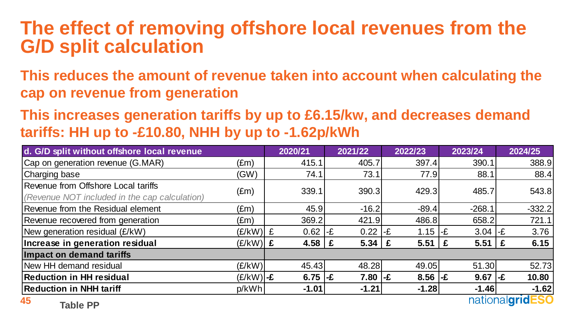### **The effect of removing offshore local revenues from the G/D split calculation**

**This reduces the amount of revenue taken into account when calculating the cap on revenue from generation**

**This increases generation tariffs by up to £6.15/kw, and decreases demand tariffs: HH up to -£10.80, NHH by up to -1.62p/kWh**

| d. G/D split without offshore local revenue   |               | 2020/21    | 2021/22                  | 2022/23             | 2023/24             | 2024/25              |
|-----------------------------------------------|---------------|------------|--------------------------|---------------------|---------------------|----------------------|
| Cap on generation revenue (G.MAR)             | (£m)          | 415.1      | 405.7                    | 397.4               | 390.1               | 388.9                |
| Charging base                                 | (GW)          | 74.1       | 73.1                     | 77.9                | 88.1                | 88.4                 |
| Revenue from Offshore Local tariffs           | $(\text{Em})$ | 339.1      | 390.3                    | 429.3               | 485.7               | 543.8                |
| (Revenue NOT included in the cap calculation) |               |            |                          |                     |                     |                      |
| Revenue from the Residual element             | $(\text{Em})$ | 45.9       | $-16.2$                  | $-89.4$             | $-268.1$            | $-332.2$             |
| Revenue recovered from generation             | $(\text{Em})$ | 369.2      | 421.9                    | 486.8               | 658.2               | 721.1                |
| New generation residual (£/kW)                | $(E/KW)$ $E$  | 0.62       | 0.22<br>l-£              | 1.15 $-$ £<br>l-£   | $3.04$ -£           | 3.76                 |
| Increase in generation residual               | $(E/KW)$ $E$  | 4.58       | $5.34 \mid \pounds$<br>£ | $5.51 \mid \pounds$ | $5.51 \mid \pounds$ | 6.15                 |
| Impact on demand tariffs                      |               |            |                          |                     |                     |                      |
| New HH demand residual                        | (E/KW)        | 45.43      | 48.28                    | 49.05               | 51.30               | 52.73                |
| <b>Reduction in HH residual</b>               | $(E/KW)$ -£   | 6.75 $-$ £ | $7.80$ -£                | $8.56$ -£           | 9.67                | 10.80<br>$l - E$     |
| <b>Reduction in NHH tariff</b>                | p/kWh         | $-1.01$    | $-1.21$                  | $-1.28$             | $-1.46$             | $-1.62$              |
| 45<br>- <b>. .</b>                            |               |            |                          |                     |                     | national <b>grid</b> |

**Table PP**

<u>nationalgrideSU</u>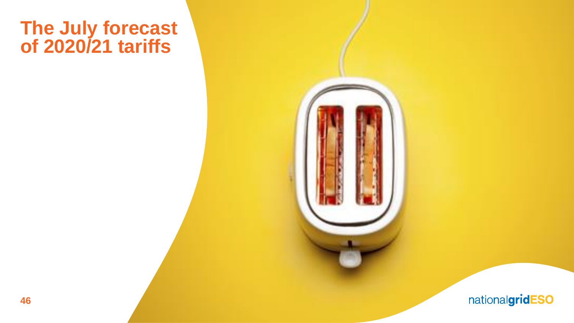### **The July forecast of 2020/21 tariffs**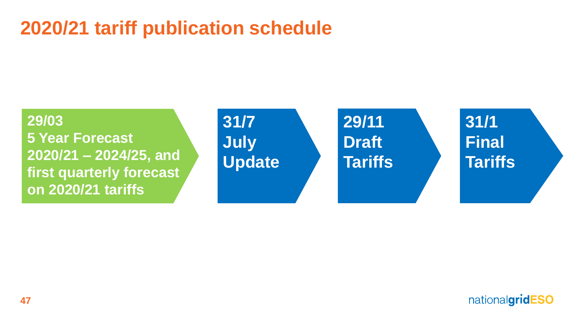### **2020/21 tariff publication schedule**



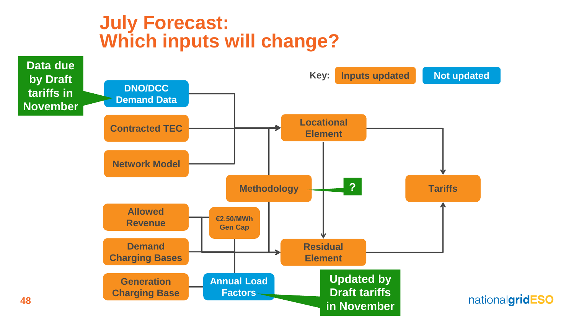### **July Forecast: Which inputs will change?**

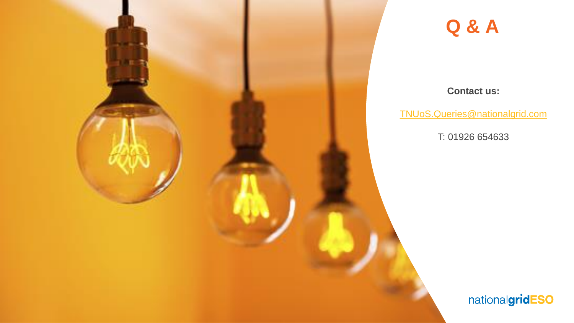

### **Q & A**

#### **Contact us:**

[TNUoS.Queries@nationalgrid.com](mailto:TNUoS.Queries@nationalgrid.com)

T: 01926 654633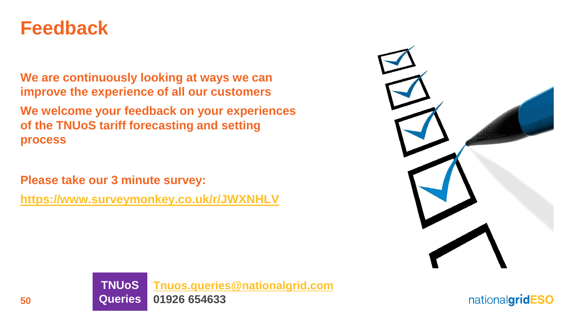### **Feedback**

**We are continuously looking at ways we can improve the experience of all our customers**

**We welcome your feedback on your experiences of the TNUoS tariff forecasting and setting process**

**Please take our 3 minute survey:**

**<https://www.surveymonkey.co.uk/r/JWXNHLV>**